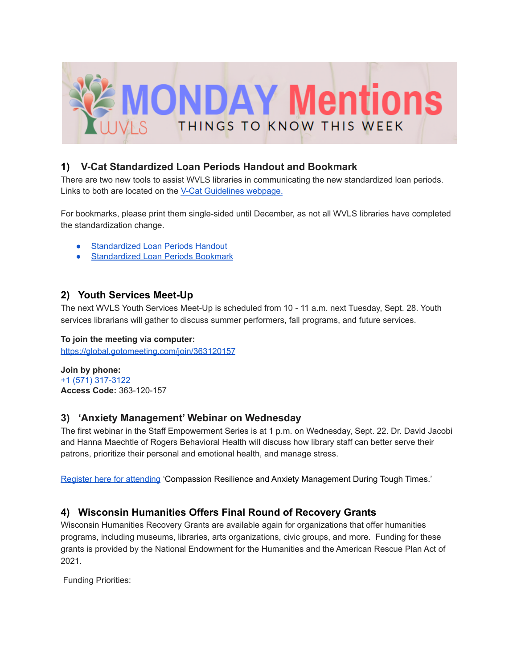

# **1) V-Cat Standardized Loan Periods Handout and Bookmark**

There are two new tools to assist WVLS libraries in communicating the new standardized loan periods. Links to both are located on the V-Cat [Guidelines](https://wvls.org/v-cat-guidelines/) webpage.

For bookmarks, please print them single-sided until December, as not all WVLS libraries have completed the standardization change.

- [Standardized](https://wvls.org/wp-content/uploads/2021/09/Standardized-Loan-Periods-Handout-1.pdf) Loan Periods Handout
- **[Standardized](https://wvls.org/wp-content/uploads/2021/09/Standardized-Loan-Periods-Bookmark-1.pdf) Loan Periods Bookmark**

### **2) Youth Services Meet-Up**

The next WVLS Youth Services Meet-Up is scheduled from 10 - 11 a.m. next Tuesday, Sept. 28. Youth services librarians will gather to discuss summer performers, fall programs, and future services.

#### **To join the meeting via computer:**

<https://global.gotomeeting.com/join/363120157>

**Join by phone:** +1 (571) 317-3122 **Access Code:** 363-120-157

#### **3) 'Anxiety Management' Webinar on Wednesday**

The first webinar in the Staff Empowerment Series is at 1 p.m. on Wednesday, Sept. 22. Dr. David Jacobi and Hanna Maechtle of Rogers Behavioral Health will discuss how library staff can better serve their patrons, prioritize their personal and emotional health, and manage stress.

[Register](https://us02web.zoom.us/webinar/register/WN_rG3stWbhQkqQMIDsAR2K1A) here for attending 'Compassion Resilience and Anxiety Management During Tough Times.'

# **4) Wisconsin Humanities Offers Final Round of Recovery Grants**

Wisconsin Humanities Recovery Grants are available again for organizations that offer humanities programs, including museums, libraries, arts organizations, civic groups, and more. Funding for these grants is provided by the National Endowment for the Humanities and the American Rescue Plan Act of 2021.

Funding Priorities: